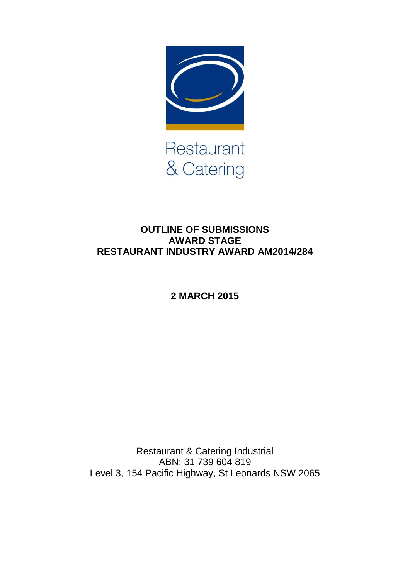

**OUTLINE OF SUBMISSIONS AWARD STAGE RESTAURANT INDUSTRY AWARD AM2014/284**

**2 MARCH 2015**

Restaurant & Catering Industrial ABN: 31 739 604 819 Level 3, 154 Pacific Highway, St Leonards NSW 2065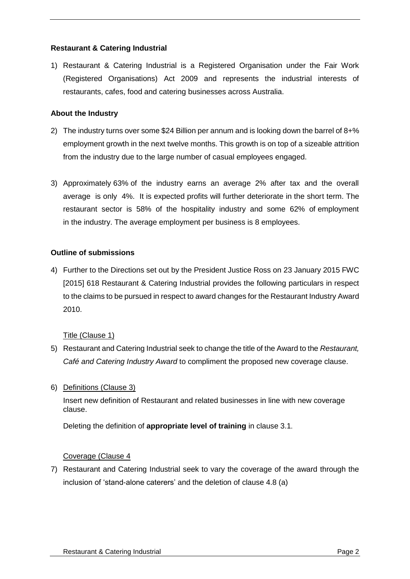# **Restaurant & Catering Industrial**

1) Restaurant & Catering Industrial is a Registered Organisation under the Fair Work (Registered Organisations) Act 2009 and represents the industrial interests of restaurants, cafes, food and catering businesses across Australia.

### **About the Industry**

- 2) The industry turns over some \$24 Billion per annum and is looking down the barrel of 8+% employment growth in the next twelve months. This growth is on top of a sizeable attrition from the industry due to the large number of casual employees engaged.
- 3) Approximately 63% of the industry earns an average 2% after tax and the overall average is only 4%. It is expected profits will further deteriorate in the short term. The restaurant sector is 58% of the hospitality industry and some 62% of employment in the industry. The average employment per business is 8 employees.

### **Outline of submissions**

4) Further to the Directions set out by the President Justice Ross on 23 January 2015 FWC [2015] 618 Restaurant & Catering Industrial provides the following particulars in respect to the claims to be pursued in respect to award changes for the Restaurant Industry Award 2010.

### Title (Clause 1)

- 5) Restaurant and Catering Industrial seek to change the title of the Award to the *Restaurant, Café and Catering Industry Award* to compliment the proposed new coverage clause.
- 6) Definitions (Clause 3)

Insert new definition of Restaurant and related businesses in line with new coverage clause.

Deleting the definition of **appropriate level of training** in clause 3.1.

### Coverage (Clause 4

7) Restaurant and Catering Industrial seek to vary the coverage of the award through the inclusion of 'stand-alone caterers' and the deletion of clause 4.8 (a)